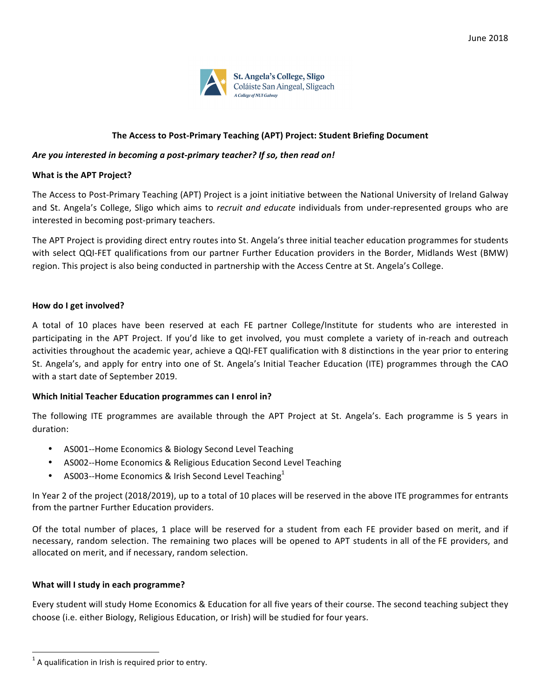

## The Access to Post-Primary Teaching (APT) Project: Student Briefing Document

### Are you interested in becoming a post-primary teacher? If so, then read on!

### **What is the APT Project?**

The Access to Post-Primary Teaching (APT) Project is a joint initiative between the National University of Ireland Galway and St. Angela's College, Sligo which aims to *recruit and educate* individuals from under-represented groups who are interested in becoming post-primary teachers.

The APT Project is providing direct entry routes into St. Angela's three initial teacher education programmes for students with select QQI-FET qualifications from our partner Further Education providers in the Border, Midlands West (BMW) region. This project is also being conducted in partnership with the Access Centre at St. Angela's College.

### **How do I get involved?**

A total of 10 places have been reserved at each FE partner College/Institute for students who are interested in participating in the APT Project. If you'd like to get involved, you must complete a variety of in-reach and outreach activities throughout the academic year, achieve a QQI-FET qualification with 8 distinctions in the year prior to entering St. Angela's, and apply for entry into one of St. Angela's Initial Teacher Education (ITE) programmes through the CAO with a start date of September 2019.

#### **Which Initial Teacher Education programmes can I enrol in?**

The following ITE programmes are available through the APT Project at St. Angela's. Each programme is 5 years in duration:

- AS001--Home Economics & Biology Second Level Teaching
- AS002--Home Economics & Religious Education Second Level Teaching
- AS003--Home Economics & Irish Second Level Teaching<sup>1</sup>

In Year 2 of the project (2018/2019), up to a total of 10 places will be reserved in the above ITE programmes for entrants from the partner Further Education providers.

Of the total number of places, 1 place will be reserved for a student from each FE provider based on merit, and if necessary, random selection. The remaining two places will be opened to APT students in all of the FE providers, and allocated on merit, and if necessary, random selection.

# **What will I study in each programme?**

Every student will study Home Economics & Education for all five years of their course. The second teaching subject they choose (i.e. either Biology, Religious Education, or Irish) will be studied for four years.

 

 $1$  A qualification in Irish is required prior to entry.